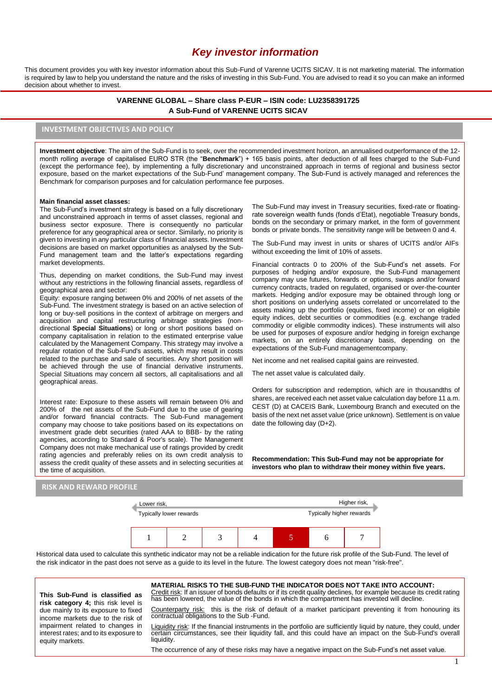# *Key investor information*

This document provides you with key investor information about this Sub-Fund of Varenne UCITS SICAV. It is not marketing material. The information is required by law to help you understand the nature and the risks of investing in this Sub-Fund. You are advised to read it so you can make an informed decision about whether to invest.

### **VARENNE GLOBAL – Share class P-EUR – ISIN code: LU2358391725 A Sub-Fund of VARENNE UCITS SICAV**

## **INVESTMENT OBJECTIVES AND POLICY**

**Investment objective**: The aim of the Sub-Fund is to seek, over the recommended investment horizon, an annualised outperformance of the 12 month rolling average of capitalised EURO STR (the "**Benchmark**") + 165 basis points, after deduction of all fees charged to the Sub-Fund (except the performance fee), by implementing a fully discretionary and unconstrained approach in terms of regional and business sector exposure, based on the market expectations of the Sub-Fund' management company. The Sub-Fund is actively managed and references the Benchmark for comparison purposes and for calculation performance fee purposes.

#### **Main financial asset classes:**

The Sub-Fund's investment strategy is based on a fully discretionary and unconstrained approach in terms of asset classes, regional and business sector exposure. There is consequently no particular preference for any geographical area or sector. Similarly, no priority is given to investing in any particular class of financial assets. Investment decisions are based on market opportunities as analysed by the Sub-Fund management team and the latter's expectations regarding market developments.

Thus, depending on market conditions, the Sub-Fund may invest without any restrictions in the following financial assets, regardless of geographical area and sector:

Equity: exposure ranging between 0% and 200% of net assets of the Sub-Fund. The investment strategy is based on an active selection of long or buy-sell positions in the context of arbitrage on mergers and acquisition and capital restructuring arbitrage strategies (nondirectional **Special Situations**) or long or short positions based on company capitalisation in relation to the estimated enterprise value calculated by the Management Company. This strategy may involve a regular rotation of the Sub-Fund's assets, which may result in costs related to the purchase and sale of securities. Any short position will be achieved through the use of financial derivative instruments. Special Situations may concern all sectors, all capitalisations and all geographical areas.

Interest rate: Exposure to these assets will remain between 0% and 200% of the net assets of the Sub-Fund due to the use of gearing and/or forward financial contracts. The Sub-Fund management company may choose to take positions based on its expectations on investment grade debt securities (rated AAA to BBB- by the rating agencies, according to Standard & Poor's scale). The Management Company does not make mechanical use of ratings provided by credit rating agencies and preferably relies on its own credit analysis to assess the credit quality of these assets and in selecting securities at the time of acquisition.

The Sub-Fund may invest in Treasury securities, fixed-rate or floatingrate sovereign wealth funds (fonds d'Etat), negotiable Treasury bonds, bonds on the secondary or primary market, in the form of government bonds or private bonds. The sensitivity range will be between 0 and 4.

The Sub-Fund may invest in units or shares of UCITS and/or AIFs without exceeding the limit of 10% of assets.

Financial contracts 0 to 200% of the Sub-Fund's net assets. For purposes of hedging and/or exposure, the Sub-Fund management company may use futures, forwards or options, swaps and/or forward currency contracts, traded on regulated, organised or over-the-counter markets. Hedging and/or exposure may be obtained through long or short positions on underlying assets correlated or uncorrelated to the assets making up the portfolio (equities, fixed income) or on eligibile equity indices, debt securities or commodities (e.g. exchange traded commodity or eligible commodity indices). These instruments will also be used for purposes of exposure and/or hedging in foreign exchange markets, on an entirely discretionary basis, depending on the expectations of the Sub-Fund managementcompany.

Net income and net realised capital gains are reinvested.

The net asset value is calculated daily.

Orders for subscription and redemption, which are in thousandths of shares, are received each net asset value calculation day before 11 a.m. CEST (D) at CACEIS Bank, Luxembourg Branch and executed on the basis of the next net asset value (price unknown). Settlement is on value date the following day (D+2).

**Recommendation: This Sub-Fund may not be appropriate for investors who plan to withdraw their money within five years.**

### **RISK AND REWARD PROFILE**



Historical data used to calculate this synthetic indicator may not be a reliable indication for the future risk profile of the Sub-Fund. The level of the risk indicator in the past does not serve as a guide to its level in the future. The lowest category does not mean "risk-free".

**This Sub-Fund is classified as risk category 4;** this risk level is due mainly to its exposure to fixed income markets due to the risk of impairment related to changes in interest rates; and to its exposure to equity markets.

**MATERIAL RISKS TO THE SUB-FUND THE INDICATOR DOES NOT TAKE INTO ACCOUNT:** Credit risk: If an issuer of bonds defaults or if its credit quality declines, for example because its credit rating has been lowered, the value of the bonds in which the compartment has invested will decline.

Counterparty risk: this is the risk of default of a market participant preventing it from honouring its contractual obligations to the Sub -Fund.

Liquidity risk: If the financial instruments in the portfolio are sufficiently liquid by nature, they could, under certain circumstances, see their liquidity fall, and this could have an impact on the Sub-Fund's overall liquidity.

The occurrence of any of these risks may have a negative impact on the Sub-Fund's net asset value.